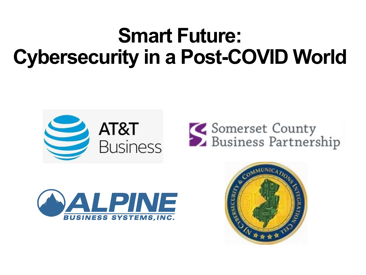## **Smart Future: Cybersecurity in a Post-COVID World**







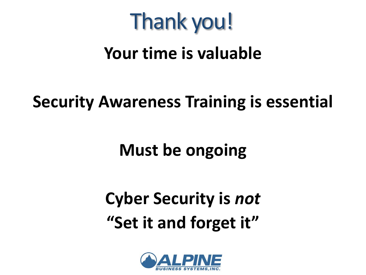# Thank you!

### **Your time is valuable**

### **Security Awareness Training is essential**

### **Must be ongoing**

## **Cyber Security is** *not* **"Set it and forget it"**

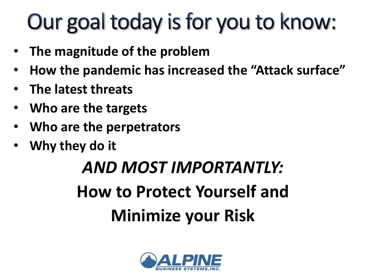# Our goal today is for you to know:

- **The magnitude of the problem**
- **How the pandemic has increased the "Attack surface"**
- **The latest threats**
- **Who are the targets**
- **Who are the perpetrators**
- **Why they do it**

## *AND MOST IMPORTANTLY:* **How to Protect Yourself and Minimize your Risk**

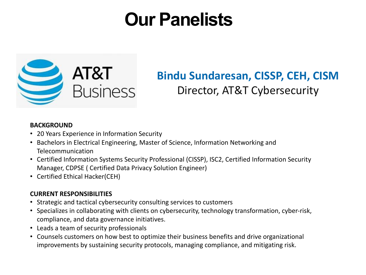### **Our Panelists**



### **Bindu Sundaresan, CISSP, CEH, CISM** Director, AT&T Cybersecurity

#### **BACKGROUND**

- 20 Years Experience in Information Security
- Bachelors in Electrical Engineering, Master of Science, Information Networking and Telecommunication
- Certified Information Systems Security Professional (CISSP), ISC2, Certified Information Security Manager, CDPSE ( Certified Data Privacy Solution Engineer)
- Certified Ethical Hacker(CEH)

#### **CURRENT RESPONSIBILITIES**

- Strategic and tactical cybersecurity consulting services to customers
- Specializes in collaborating with clients on cybersecurity, technology transformation, cyber-risk, compliance, and data governance initiatives.
- Leads a team of security professionals
- Counsels customers on how best to optimize their business benefits and drive organizational improvements by sustaining security protocols, managing compliance, and mitigating risk.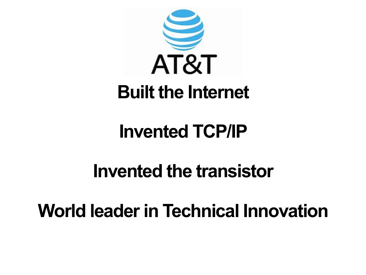

### **Invented TCP/IP**

### **Invented the transistor**

**World leader in Technical Innovation**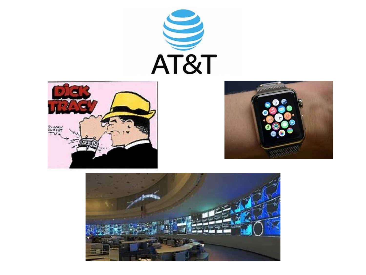





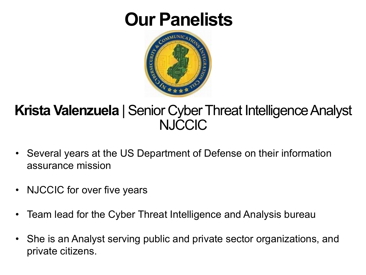### **Our Panelists**



### **Krista Valenzuela** | Senior Cyber Threat Intelligence Analyst NJCCIC

- Several years at the US Department of Defense on their information assurance mission
- NJCCIC for over five years
- Team lead for the Cyber Threat Intelligence and Analysis bureau
- She is an Analyst serving public and private sector organizations, and private citizens.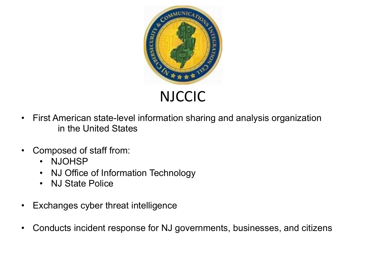

NJCCIC

- First American state-level information sharing and analysis organization in the United States
- Composed of staff from:
	- NJOHSP
	- NJ Office of Information Technology
	- NJ State Police
- Exchanges cyber threat intelligence
- Conducts incident response for NJ governments, businesses, and citizens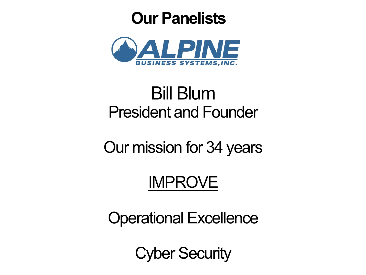



### Bill Blum President and Founder

### Our mission for 34 years

### IMPROVE

Operational Excellence

Cyber Security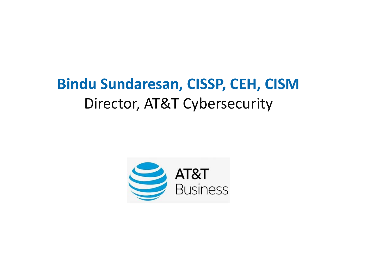### **Bindu Sundaresan, CISSP, CEH, CISM** Director, AT&T Cybersecurity